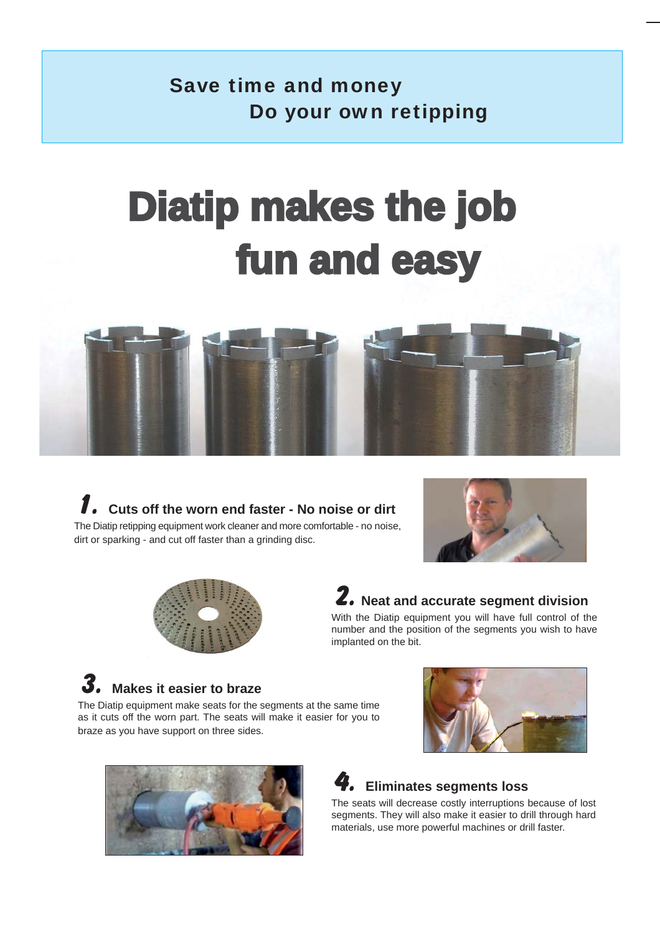## Save time and money Do your own retipping

# **Diatip makes the job** fun and easy







## **2. Neat and accurate segment division**

With the Diatip equipment you will have full control of the number and the position of the segments you wish to have implanted on the bit.

## **3. Makes it easier to braze**

The Diatip equipment make seats for the segments at the same time as it cuts off the worn part. The seats will make it easier for you to braze as you have support on three sides.





### **4. Eliminates segments loss**

The seats will decrease costly interruptions because of lost segments. They will also make it easier to drill through hard materials, use more powerful machines or drill faster.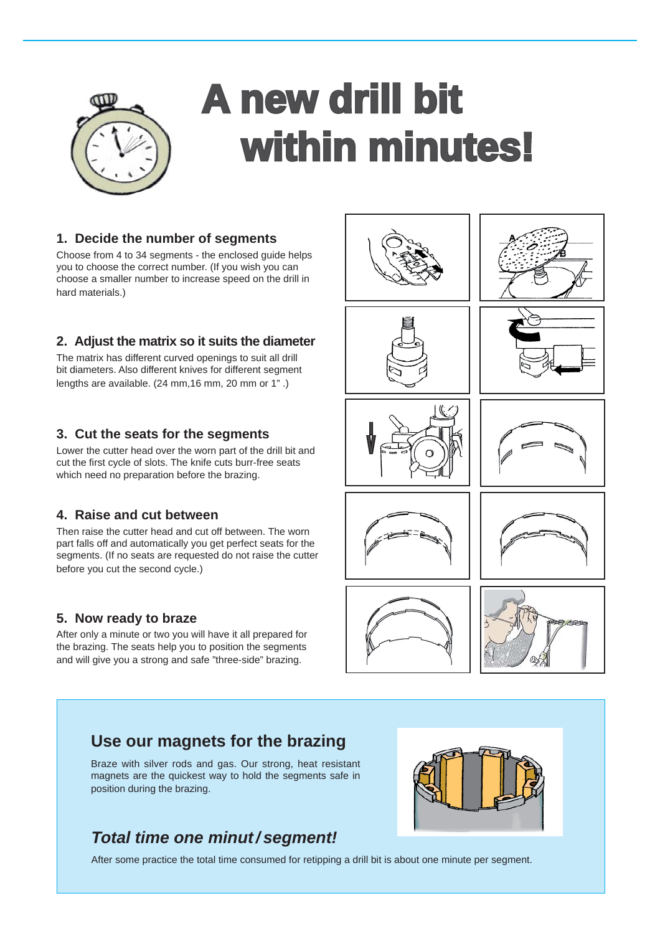

# **A new drill bit within minutes!**

### **1. Decide the number of segments**

Choose from 4 to 34 segments - the enclosed guide helps you to choose the correct number. (If you wish you can choose a smaller number to increase speed on the drill in hard materials.)

### **2. Adjust the matrix so it suits the diameter**

The matrix has different curved openings to suit all drill bit diameters. Also different knives for different segment lengths are available. (24 mm,16 mm, 20 mm or 1" .)

### **3. Cut the seats for the segments**

Lower the cutter head over the worn part of the drill bit and cut the first cycle of slots. The knife cuts burr-free seats which need no preparation before the brazing.

### **4. Raise and cut between**

Then raise the cutter head and cut off between. The worn part falls off and automatically you get perfect seats for the segments. (If no seats are requested do not raise the cutter before you cut the second cycle.)

### **5. Now ready to braze**

After only a minute or two you will have it all prepared for the brazing. The seats help you to position the segments and will give you a strong and safe "three-side" brazing.







### **Use our magnets for the brazing**

Braze with silver rods and gas. Our strong, heat resistant magnets are the quickest way to hold the segments safe in position during the brazing.

## *Total time one minut/ segment!*



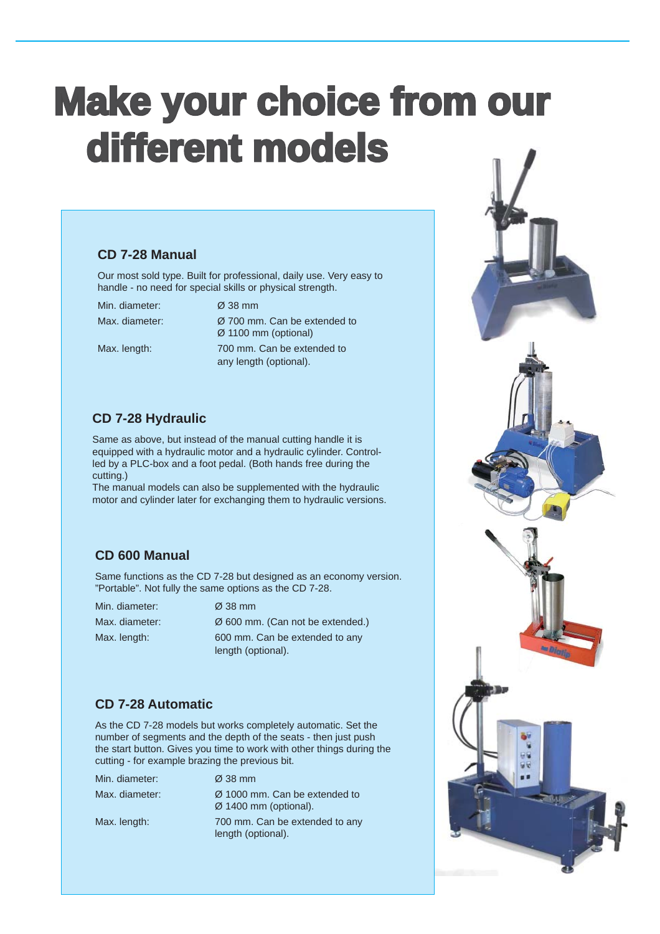## **Make your choice from our different models models**

### **CD 7-28 Manual**

Our most sold type. Built for professional, daily use. Very easy to handle - no need for special skills or physical strength.

Min. diameter: Ø 38 mm

Max. diameter:  $\oslash$  700 mm. Can be extended to Ø 1100 mm (optional) Max. length: 700 mm. Can be extended to any length (optional).

### **CD 7-28 Hydraulic**

Same as above, but instead of the manual cutting handle it is equipped with a hydraulic motor and a hydraulic cylinder. Controlled by a PLC-box and a foot pedal. (Both hands free during the cutting.)

The manual models can also be supplemented with the hydraulic motor and cylinder later for exchanging them to hydraulic versions.

### **CD 600 Manual**

Same functions as the CD 7-28 but designed as an economy version. "Portable". Not fully the same options as the CD 7-28.

Min. diameter: Ø 38 mm

Max. diameter:  $\emptyset$  600 mm. (Can not be extended.) Max. length: 600 mm. Can be extended to any length (optional).

### **CD 7-28 Automatic**

As the CD 7-28 models but works completely automatic. Set the number of segments and the depth of the seats - then just push the start button. Gives you time to work with other things during the cutting - for example brazing the previous bit.

| Min. diameter: | $\varnothing$ 38 mm                                                            |
|----------------|--------------------------------------------------------------------------------|
| Max. diameter: | $\varnothing$ 1000 mm. Can be extended to<br>$\varnothing$ 1400 mm (optional). |
| Max. length:   | 700 mm. Can be extended to any<br>length (optional).                           |